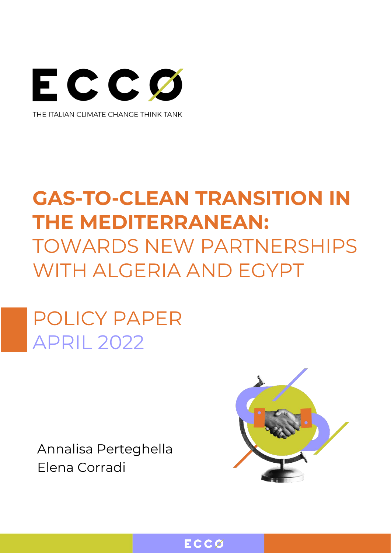

# **GAS-TO-CLEAN TRANSITION IN THE MEDITERRANEAN:** TOWARDS NEW PARTNERSHIPS WITH AI GFRIA AND FGYPT

POLICY PAPER APRIL 2022

Annalisa Perteghella Elena Corradi



ECCØ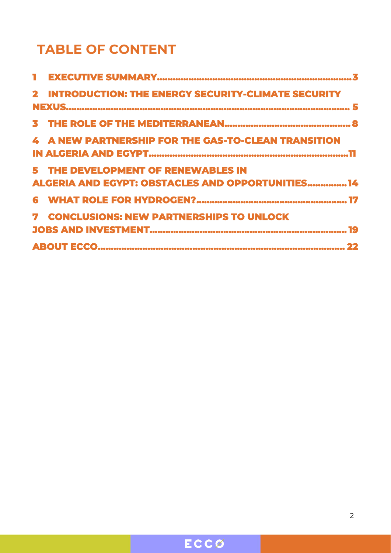## **TABLE OF CONTENT**

|  | 2 INTRODUCTION: THE ENERGY SECURITY-CLIMATE SECURITY     |  |  |  |  |  |
|--|----------------------------------------------------------|--|--|--|--|--|
|  |                                                          |  |  |  |  |  |
|  |                                                          |  |  |  |  |  |
|  | 4 A NEW PARTNERSHIP FOR THE GAS-TO-CLEAN TRANSITION      |  |  |  |  |  |
|  |                                                          |  |  |  |  |  |
|  | 5 THE DEVELOPMENT OF RENEWABLES IN                       |  |  |  |  |  |
|  | <b>ALGERIA AND EGYPT: OBSTACLES AND OPPORTUNITIES 14</b> |  |  |  |  |  |
|  |                                                          |  |  |  |  |  |
|  | <b>7 CONCLUSIONS: NEW PARTNERSHIPS TO UNLOCK</b>         |  |  |  |  |  |
|  |                                                          |  |  |  |  |  |
|  |                                                          |  |  |  |  |  |

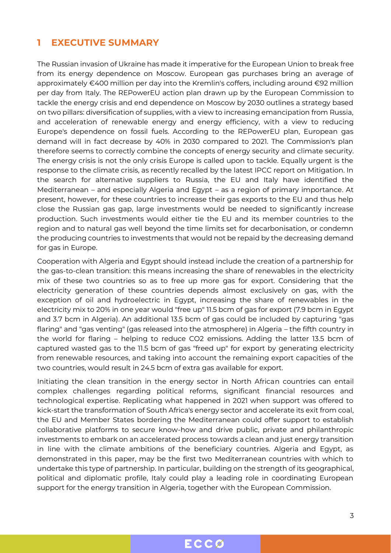#### <span id="page-2-0"></span>**1 EXECUTIVE SUMMARY**

The Russian invasion of Ukraine has made it imperative for the European Union to break free from its energy dependence on Moscow. European gas purchases bring an average of approximately €400 million per day into the Kremlin's coffers, including around €92 million per day from Italy. The REPowerEU action plan drawn up by the European Commission to tackle the energy crisis and end dependence on Moscow by 2030 outlines a strategy based on two pillars: diversification of supplies, with a view to increasing emancipation from Russia, and acceleration of renewable energy and energy efficiency, with a view to reducing Europe's dependence on fossil fuels. According to the REPowerEU plan, European gas demand will in fact decrease by 40% in 2030 compared to 2021. The Commission's plan therefore seems to correctly combine the concepts of energy security and climate security. The energy crisis is not the only crisis Europe is called upon to tackle. Equally urgent is the response to the climate crisis, as recently recalled by the latest IPCC report on Mitigation. In the search for alternative suppliers to Russia, the EU and Italy have identified the Mediterranean – and especially Algeria and Egypt – as a region of primary importance. At present, however, for these countries to increase their gas exports to the EU and thus help close the Russian gas gap, large investments would be needed to significantly increase production. Such investments would either tie the EU and its member countries to the region and to natural gas well beyond the time limits set for decarbonisation, or condemn the producing countries to investments that would not be repaid by the decreasing demand for gas in Europe.

Cooperation with Algeria and Egypt should instead include the creation of a partnership for the gas-to-clean transition: this means increasing the share of renewables in the electricity mix of these two countries so as to free up more gas for export. Considering that the electricity generation of these countries depends almost exclusively on gas, with the exception of oil and hydroelectric in Egypt, increasing the share of renewables in the electricity mix to 20% in one year would "free up" 11.5 bcm of gas for export (7.9 bcm in Egypt and 3.7 bcm in Algeria). An additional 13.5 bcm of gas could be included by capturing "gas flaring" and "gas venting" (gas released into the atmosphere) in Algeria – the fifth country in the world for flaring – helping to reduce CO2 emissions. Adding the latter 13.5 bcm of captured wasted gas to the 11.5 bcm of gas "freed up" for export by generating electricity from renewable resources, and taking into account the remaining export capacities of the two countries, would result in 24.5 bcm of extra gas available for export.

Initiating the clean transition in the energy sector in North African countries can entail complex challenges regarding political reforms, significant financial resources and technological expertise. Replicating what happened in 2021 when support was offered to kick-start the transformation of South Africa's energy sector and accelerate its exit from coal, the EU and Member States bordering the Mediterranean could offer support to establish collaborative platforms to secure know-how and drive public, private and philanthropic investments to embark on an accelerated process towards a clean and just energy transition in line with the climate ambitions of the beneficiary countries. Algeria and Egypt, as demonstrated in this paper, may be the first two Mediterranean countries with which to undertake this type of partnership. In particular, building on the strength of its geographical, political and diplomatic profile, Italy could play a leading role in coordinating European support for the energy transition in Algeria, together with the European Commission.

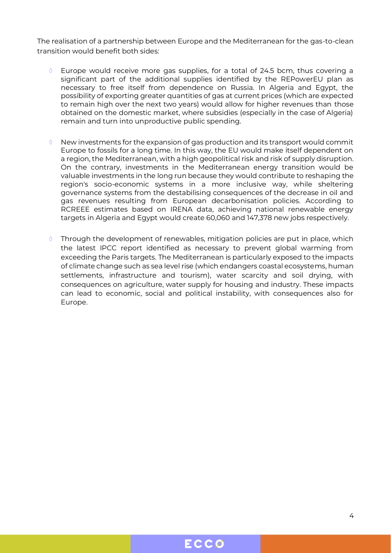The realisation of a partnership between Europe and the Mediterranean for the gas-to-clean transition would benefit both sides:

- Europe would receive more gas supplies, for a total of 24.5 bcm, thus covering a significant part of the additional supplies identified by the REPowerEU plan as necessary to free itself from dependence on Russia. In Algeria and Egypt, the possibility of exporting greater quantities of gas at current prices (which are expected to remain high over the next two years) would allow for higher revenues than those obtained on the domestic market, where subsidies (especially in the case of Algeria) remain and turn into unproductive public spending.
- New investments for the expansion of gas production and its transport would commit Europe to fossils for a long time. In this way, the EU would make itself dependent on a region, the Mediterranean, with a high geopolitical risk and risk of supply disruption. On the contrary, investments in the Mediterranean energy transition would be valuable investments in the long run because they would contribute to reshaping the region's socio-economic systems in a more inclusive way, while sheltering governance systems from the destabilising consequences of the decrease in oil and gas revenues resulting from European decarbonisation policies. According to RCREEE estimates based on IRENA data, achieving national renewable energy targets in Algeria and Egypt would create 60,060 and 147,378 new jobs respectively.
- $\Diamond$  Through the development of renewables, mitigation policies are put in place, which the latest IPCC report identified as necessary to prevent global warming from exceeding the Paris targets. The Mediterranean is particularly exposed to the impacts of climate change such as sea level rise (which endangers coastal ecosystems, human settlements, infrastructure and tourism), water scarcity and soil drying, with consequences on agriculture, water supply for housing and industry. These impacts can lead to economic, social and political instability, with consequences also for Europe.

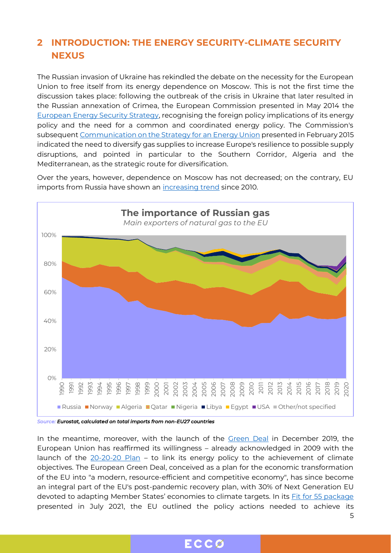#### <span id="page-4-0"></span>**2 INTRODUCTION: THE ENERGY SECURITY-CLIMATE SECURITY NEXUS**

The Russian invasion of Ukraine has rekindled the debate on the necessity for the European Union to free itself from its energy dependence on Moscow. This is not the first time the discussion takes place: following the outbreak of the crisis in Ukraine that later resulted in the Russian annexation of Crimea, the European Commission presented in May 2014 the [European Energy Security Strategy,](https://eur-lex.europa.eu/legal-content/EN/TXT/PDF/?uri=CELEX:52014DC0330) recognising the foreign policy implications of its energy policy and the need for a common and coordinated energy policy. The Commission's subsequen[t Communication on the Strategy for](https://eur-lex.europa.eu/legal-content/EN/TXT/?uri=COM:2015:80:FIN) an Energy Union presented in February 2015 indicated the need to diversify gas supplies to increase Europe's resilience to possible supply disruptions, and pointed in particular to the Southern Corridor, Algeria and the Mediterranean, as the strategic route for diversification.

Over the years, however, dependence on Moscow has not decreased; on the contrary, EU imports from Russia have shown an [increasing trend](https://appsso.eurostat.ec.europa.eu/nui/submitViewTableAction.do) since 2010.



*Source: Eurostat, calculated on total imports from non-EU27 countries*

the state of the state of the state of the state of the state of the state of the state of the state of the st In the meantime, moreover, with the launch of the **[Green Deal](https://ec.europa.eu/info/strategy/priorities-2019-2024/european-green-deal_en)** in December 2019, the European Union has reaffirmed its willingness – already acknowledged in 2009 with the launch of the  $20-20-20$  Plan – to link its energy policy to the achievement of climate objectives. The European Green Deal, conceived as a plan for the economic transformation of the EU into "a modern, resource-efficient and competitive economy", has since become an integral part of the EU's post-pandemic recovery plan, with 30% of Next Generation EU devoted to adapting Member States' economies to climate targets. In its [Fit for 55 package](https://eur-lex.europa.eu/legal-content/EN/TXT/?uri=CELEX%3A52021DC0550) presented in July 2021, the EU outlined the policy actions needed to achieve its

ECCØ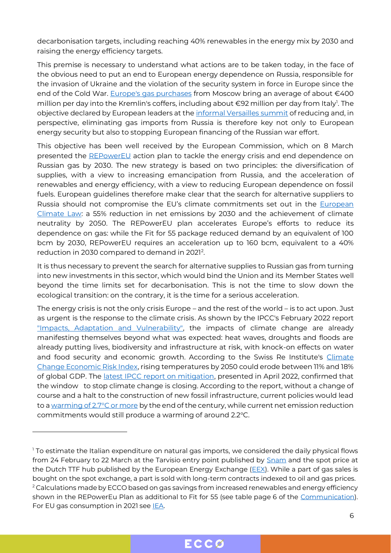decarbonisation targets, including reaching 40% renewables in the energy mix by 2030 and raising the energy efficiency targets.

This premise is necessary to understand what actions are to be taken today, in the face of the obvious need to put an end to European energy dependence on Russia, responsible for the invasion of Ukraine and the violation of the security system in force in Europe since the end of the Cold War. [Europe's gas purchases](https://www.washingtonpost.com/world/2022/04/05/eu-ban-coal-sanctions-bucha-massacre-ukraine/) from Moscow bring an average of about €400 million per day into the Kremlin's coffers, including about €92 million per day from Italy<sup>1</sup>. The objective declared by European leaders at the [informal Versailles summit](https://www.consilium.europa.eu/en/press/press-releases/2022/03/11/the-versailles-declaration-10-11-03-2022/) of reducing and, in perspective, eliminating gas imports from Russia is therefore key not only to European energy security but also to stopping European financing of the Russian war effort.

This objective has been well received by the European Commission, which on 8 March presented the [REPowerEU](https://eur-lex.europa.eu/legal-content/EN/TXT/?uri=COM%3A2022%3A108%3AFIN) action plan to tackle the energy crisis and end dependence on Russian gas by 2030. The new strategy is based on two principles: the diversification of supplies, with a view to increasing emancipation from Russia, and the acceleration of renewables and energy efficiency, with a view to reducing European dependence on fossil fuels. European guidelines therefore make clear that the search for alternative suppliers to Russia should not compromise the EU's climate commitments set out in the [European](https://ec.europa.eu/clima/eu-action/european-green-deal/european-climate-law_en)  [Climate Law:](https://ec.europa.eu/clima/eu-action/european-green-deal/european-climate-law_en) a 55% reduction in net emissions by 2030 and the achievement of climate neutrality by 2050. The REPowerEU plan accelerates Europe's efforts to reduce its dependence on gas: while the Fit for 55 package reduced demand by an equivalent of 100 bcm by 2030, REPowerEU requires an acceleration up to 160 bcm, equivalent to a 40% reduction in 2030 compared to demand in 2021<sup>2</sup>.

It is thus necessary to prevent the search for alternative supplies to Russian gas from turning into new investments in this sector, which would bind the Union and its Member States well beyond the time limits set for decarbonisation. This is not the time to slow down the ecological transition: on the contrary, it is the time for a serious acceleration.

The energy crisis is not the only crisis Europe – and the rest of the world – is to act upon. Just as urgent is the response to the climate crisis. As shown by the IPCC's February 2022 report ["Impacts, Adaptation and Vulnerability",](https://www.ipcc.ch/report/ar6/wg2/) the impacts of climate change are already manifesting themselves beyond what was expected: heat waves, droughts and floods are already putting lives, biodiversity and infrastructure at risk, with knock-on effects on water and food security and economic growth. According to the Swiss Re Institute's [Climate](https://www.swissre.com/institute/research/topics-and-risk-dialogues/climate-and-natural-catastrophe-risk/expertise-publication-economics-of-climate-change.html)  [Change Economic Risk Index,](https://www.swissre.com/institute/research/topics-and-risk-dialogues/climate-and-natural-catastrophe-risk/expertise-publication-economics-of-climate-change.html) rising temperatures by 2050 could erode between 11% and 18% of global GDP. The [latest IPCC report on mitigation,](https://www.ipcc.ch/report/sixth-assessment-report-working-group-3/) presented in April 2022, confirmed that the window to stop climate change is closing. According to the report, without a change of course and a halt to the construction of new fossil infrastructure, current policies would lead to [a warming of 2.7°C or more](https://wedocs.unep.org/bitstream/handle/20.500.11822/36991/EGR21_ESEN.pdf) by the end of the century, while current net emission reduction commitments would still produce a warming of around 2.2°C.

<sup>&</sup>lt;sup>1</sup> To estimate the Italian expenditure on natural gas imports, we considered the daily physical flows from 24 February to 22 March at the Tarvisio entry point published by [Snam](https://www.snam.it/it/trasporto/dati-operativi-business/0_mappa_interattiva/) and the spot price at the Dutch TTF hub published by the European Energy Exchange ( $EEX$ ). While a part of gas sales is bought on the spot exchange, a part is sold with long-term contracts indexed to oil and gas prices. <sup>2</sup> Calculations made by ECCO based on gas savings from increased renewables and energy efficiency shown in the REPowerEu Plan as additional to Fit for 55 (see table page 6 of the [Communication\)](https://eur-lex.europa.eu/resource.html?uri=cellar:71767319-9f0a-11ec-83e1-01aa75ed71a1.0001.02/DOC_1&format=PDF). For EU gas consumption in 2021 see [IEA.](https://www.iea.org/news/how-europe-can-cut-natural-gas-imports-from-russia-significantly-within-a-year)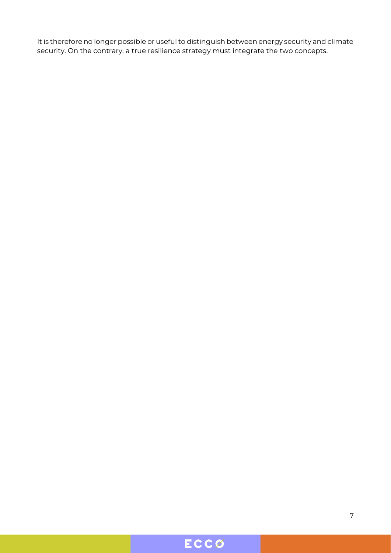It is therefore no longer possible or useful to distinguish between energy security and climate security. On the contrary, a true resilience strategy must integrate the two concepts.

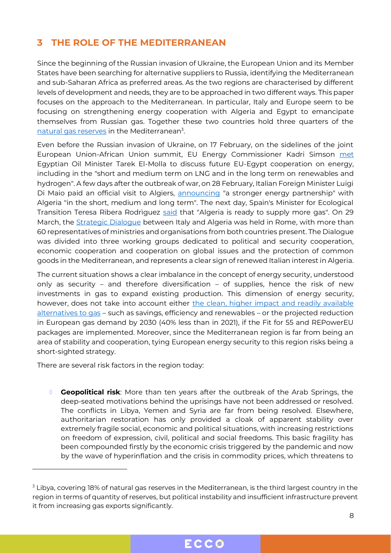#### <span id="page-7-0"></span>**3 THE ROLE OF THE MEDITERRANEAN**

Since the beginning of the Russian invasion of Ukraine, the European Union and its Member States have been searching for alternative suppliers to Russia, identifying the Mediterranean and sub-Saharan Africa as preferred areas. As the two regions are characterised by different levels of development and needs, they are to be approached in two different ways. This paper focuses on the approach to the Mediterranean. In particular, Italy and Europe seem to be focusing on strengthening energy cooperation with Algeria and Egypt to emancipate themselves from Russian gas. Together these two countries hold three quarters of the [natural gas reserves](https://www.eia.gov/international/data/world/natural-gas/dry-natural-gas-reserves?pd=3002&p=000000000000000000004&u=0&f=A&v=mapbubble&a=-&i=none&vo=value&&t=C&g=00000000000000000000000000000000000000000000000001&l=249-ruvvvvvfvtvnvv1vrvvvvfvvvvvvfvvvou20evvvvvvvvvvnvvvs0008&s=315532800000&e=1609459200000) in the Mediterranean<sup>3</sup>.

Even before the Russian invasion of Ukraine, on 17 February, on the sidelines of the joint European Union-African Union summit, EU Energy Commissioner Kadri Simson [met](https://twitter.com/KadriSimson/status/1494312178014470147) Egyptian Oil Minister Tarek El-Molla to discuss future EU-Egypt cooperation on energy, including in the "short and medium term on LNG and in the long term on renewables and hydrogen". A few days after the outbreak of war, on 28 February, Italian Foreign Minister Luigi Di Maio paid an official visit to Algiers, [announcing](https://www.agi.it/estero/di-maio-l-algeria-ci-sosterra-nel-breve-e-lungo-periodo-15836476/temporeale/2022-03-02/) "a stronger energy partnership" with Algeria "in the short, medium and long term". The next day, Spain's Minister for Ecological Transition Teresa Ribera Rodriguez [said](https://www.bloomberg.com/news/articles/2022-03-01/spain-says-algeria-s-ready-to-send-more-gas-to-europe) that "Algeria is ready to supply more gas". On 29 March, the [Strategic Dialogue](https://www.esteri.it/en/sala_stampa/archivionotizie/comunicati/2022/03/dialogo-strategico-italia-algeria-alla-farnesina/) between Italy and Algeria was held in Rome, with more than 60 representatives of ministries and organisations from both countries present. The Dialogue was divided into three working groups dedicated to political and security cooperation, economic cooperation and cooperation on global issues and the protection of common goods in the Mediterranean, and represents a clear sign of renewed Italian interest in Algeria.

The current situation shows a clear imbalance in the concept of energy security, understood only as security – and therefore diversification – of supplies, hence the risk of new investments in gas to expand existing production. This dimension of energy security, however, does not take into account either the clean, higher impact and readily available [alternatives to gas](https://eccoclimate.org/wp-content/uploads/2022/03/Phasing-out-russian-gas-analysis.pdf) – such as savings, efficiency and renewables – or the projected reduction in European gas demand by 2030 (40% less than in 2021), if the Fit for 55 and REPowerEU packages are implemented. Moreover, since the Mediterranean region is far from being an area of stability and cooperation, tying European energy security to this region risks being a short-sighted strategy.

There are several risk factors in the region today:

 **Geopolitical risk**: More than ten years after the outbreak of the Arab Springs, the deep-seated motivations behind the uprisings have not been addressed or resolved. The conflicts in Libya, Yemen and Syria are far from being resolved. Elsewhere, authoritarian restoration has only provided a cloak of apparent stability over extremely fragile social, economic and political situations, with increasing restrictions on freedom of expression, civil, political and social freedoms. This basic fragility has been compounded firstly by the economic crisis triggered by the pandemic and now by the wave of hyperinflation and the crisis in commodity prices, which threatens to

<sup>&</sup>lt;sup>3</sup> Libya, covering 18% of natural gas reserves in the Mediterranean, is the third largest country in the region in terms of quantity of reserves, but political instability and insufficient infrastructure prevent it from increasing gas exports significantly.

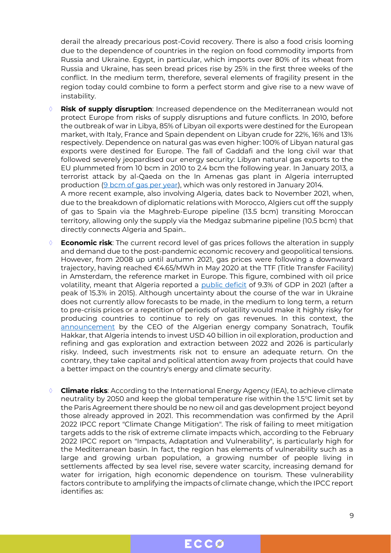derail the already precarious post-Covid recovery. There is also a food crisis looming due to the dependence of countries in the region on food commodity imports from Russia and Ukraine. Egypt, in particular, which imports over 80% of its wheat from Russia and Ukraine, has seen bread prices rise by 25% in the first three weeks of the conflict. In the medium term, therefore, several elements of fragility present in the region today could combine to form a perfect storm and give rise to a new wave of instability.

 **Risk of supply disruption**: Increased dependence on the Mediterranean would not protect Europe from risks of supply disruptions and future conflicts. In 2010, before the outbreak of war in Libya, 85% of Libyan oil exports were destined for the European market, with Italy, France and Spain dependent on Libyan crude for 22%, 16% and 13% respectively. Dependence on natural gas was even higher: 100% of Libyan natural gas exports were destined for Europe. The fall of Gaddafi and the long civil war that followed severely jeopardised our energy security: Libyan natural gas exports to the EU plummeted from 10 bcm in 2010 to 2.4 bcm the following year. In January 2013, a terrorist attack by al-Qaeda on the In Amenas gas plant in Algeria interrupted production [\(9 bcm of gas per year\)](https://www.reuters.com/article/us-sahara-crisis-gas-idUSBRE90K0GT20130121), which was only restored in January 2014. A more recent example, also involving Algeria, dates back to November 2021, when, due to the breakdown of diplomatic relations with Morocco, Algiers cut off the supply of gas to Spain via the Maghreb-Europe pipeline (13.5 bcm) transiting Moroccan territory, allowing only the supply via the Medgaz submarine pipeline (10.5 bcm) that

directly connects Algeria and Spain..

- **Economic risk**: The current record level of gas prices follows the alteration in supply and demand due to the post-pandemic economic recovery and geopolitical tensions. However, from 2008 up until autumn 2021, gas prices were following a downward trajectory, having reached €4.65/MWh in May 2020 at the TTF (Title Transfer Facility) in Amsterdam, the reference market in Europe. This figure, combined with oil price volatility, meant that Algeria reported a [public deficit](https://www.imf.org/external/datamapper/GGXCNL_G01_GDP_PT@FM/DZA) of 9.3% of GDP in 2021 (after a peak of 15.3% in 2015). Although uncertainty about the course of the war in Ukraine does not currently allow forecasts to be made, in the medium to long term, a return to pre-crisis prices or a repetition of periods of volatility would make it highly risky for producing countries to continue to rely on gas revenues. In this context, the [announcement](https://www.theafricareport.com/163920/algerias-sonatrach-announces-40bn-in-investments/) by the CEO of the Algerian energy company Sonatrach, Toufik Hakkar, that Algeria intends to invest USD 40 billion in oil exploration, production and refining and gas exploration and extraction between 2022 and 2026 is particularly risky. Indeed, such investments risk not to ensure an adequate return. On the contrary, they take capital and political attention away from projects that could have a better impact on the country's energy and climate security.
- **Climate risks**: According to the International Energy Agency (IEA), to achieve climate neutrality by 2050 and keep the global temperature rise within the 1.5°C limit set by the Paris Agreement there should be no new oil and gas development project beyond those already approved in 2021. This recommendation was confirmed by the April 2022 IPCC report "Climate Change Mitigation". The risk of failing to meet mitigation targets adds to the risk of extreme climate impacts which, according to the February 2022 IPCC report on "Impacts, Adaptation and Vulnerability", is particularly high for the Mediterranean basin. In fact, the region has elements of vulnerability such as a large and growing urban population, a growing number of people living in settlements affected by sea level rise, severe water scarcity, increasing demand for water for irrigation, high economic dependence on tourism. These vulnerability factors contribute to amplifying the impacts of climate change, which the IPCC report identifies as:

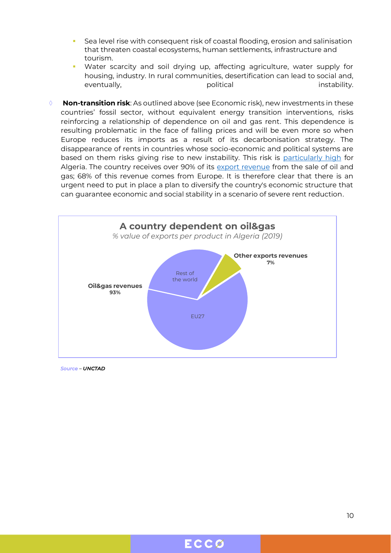- Sea level rise with consequent risk of coastal flooding, erosion and salinisation that threaten coastal ecosystems, human settlements, infrastructure and tourism.
- Water scarcity and soil drying up, affecting agriculture, water supply for housing, industry. In rural communities, desertification can lead to social and, eventually, eventually, political instability, eventually,  $p$
- **Non-transition risk**: As outlined above (see Economic risk), new investments in these countries' fossil sector, without equivalent energy transition interventions, risks reinforcing a relationship of dependence on oil and gas rent. This dependence is resulting problematic in the face of falling prices and will be even more so when Europe reduces its imports as a result of its decarbonisation strategy. The disappearance of rents in countries whose socio-economic and political systems are based on them risks giving rise to new instability. This risk is [particularly high](https://www.bruegel.org/2021/02/the-geopolitics-of-the-european-green-deal/) for Algeria. The country receives over 90% of its [export revenue](https://unctadstat.unctad.org/wds/TableViewer/tableView.aspx) from the sale of oil and gas; 68% of this revenue comes from Europe. It is therefore clear that there is an urgent need to put in place a plan to diversify the country's economic structure that can guarantee economic and social stability in a scenario of severe rent reduction.



*Source – UNCTAD*

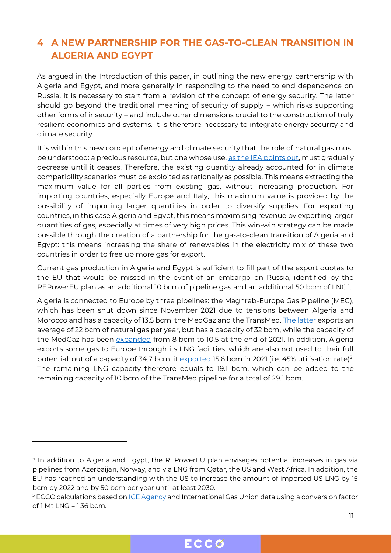### <span id="page-10-0"></span>**4 A NEW PARTNERSHIP FOR THE GAS-TO-CLEAN TRANSITION IN ALGERIA AND EGYPT**

As argued in the Introduction of this paper, in outlining the new energy partnership with Algeria and Egypt, and more generally in responding to the need to end dependence on Russia, it is necessary to start from a revision of the concept of energy security. The latter should go beyond the traditional meaning of security of supply – which risks supporting other forms of insecurity – and include other dimensions crucial to the construction of truly resilient economies and systems. It is therefore necessary to integrate energy security and climate security.

It is within this new concept of energy and climate security that the role of natural gas must be understood: a precious resource, but one whose use, [as the IEA points out,](https://www.iea.org/reports/world-energy-outlook-2021) must gradually decrease until it ceases. Therefore, the existing quantity already accounted for in climate compatibility scenarios must be exploited as rationally as possible. This means extracting the maximum value for all parties from existing gas, without increasing production. For importing countries, especially Europe and Italy, this maximum value is provided by the possibility of importing larger quantities in order to diversify supplies. For exporting countries, in this case Algeria and Egypt, this means maximising revenue by exporting larger quantities of gas, especially at times of very high prices. This win-win strategy can be made possible through the creation of a partnership for the gas-to-clean transition of Algeria and Egypt: this means increasing the share of renewables in the electricity mix of these two countries in order to free up more gas for export.

Current gas production in Algeria and Egypt is sufficient to fill part of the export quotas to the EU that would be missed in the event of an embargo on Russia, identified by the REPowerEU plan as an additional 10 bcm of pipeline gas and an additional 50 bcm of LNG<sup>4</sup> .

Algeria is connected to Europe by three pipelines: the Maghreb-Europe Gas Pipeline (MEG), which has been shut down since November 2021 due to tensions between Algeria and Morocco and has a capacity of 13.5 bcm, the MedGaz and the TransMed. [The latter](https://energycapitalpower.com/algeria-is-prepared-to-fulfil-europes-gas-demand/) exports an average of 22 bcm of natural gas per year, but has a capacity of 32 bcm, while the capacity of the MedGaz has been [expanded](https://www.spglobal.com/commodity-insights/en/market-insights/latest-news/natural-gas/110121-algerian-gas-supply-via-morocco-to-spain-to-end-on-contract-non-renewal) from 8 bcm to 10.5 at the end of 2021. In addition, Algeria exports some gas to Europe through its LNG facilities, which are also not used to their full potential: out of a capacity of 34.7 bcm, it <u>exported</u> 15.6 bcm in 2021 (i.e. 45% utilisation rate)<sup>5</sup>. The remaining LNG capacity therefore equals to 19.1 bcm, which can be added to the remaining capacity of 10 bcm of the TransMed pipeline for a total of 29.1 bcm.

<sup>4</sup> In addition to Algeria and Egypt, the REPowerEU plan envisages potential increases in gas via pipelines from Azerbaijan, Norway, and via LNG from Qatar, the US and West Africa. In addition, the EU has reached an understanding with the US to increase the amount of imported US LNG by 15 bcm by 2022 and by 50 bcm per year until at least 2030.

 $5$  ECCO calculations based on <u>ICE Agency</u> and International Gas Union data using a conversion factor  $of 1 Mt I NG = 1.36 bcm.$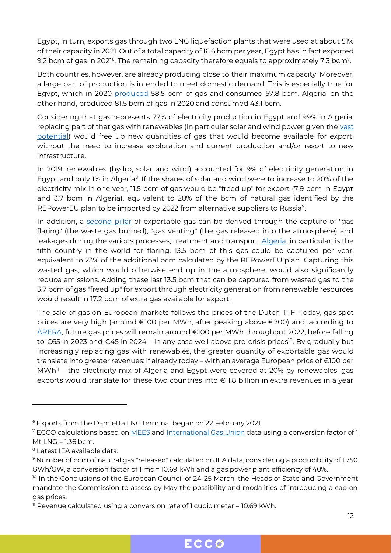Egypt, in turn, exports gas through two LNG liquefaction plants that were used at about 51% of their capacity in 2021. Out of a total capacity of 16.6 bcm per year, Egypt has in fact exported 9.2 bcm of gas in 2021 $^{\circ}$ . The remaining capacity therefore equals to approximately 7.3 bcm $^7$ .

Both countries, however, are already producing close to their maximum capacity. Moreover, a large part of production is intended to meet domestic demand. This is especially true for Egypt, which in 2020 [produced](https://www.bp.com/content/dam/bp/business-sites/en/global/corporate/pdfs/energy-economics/statistical-review/bp-stats-review-2021-full-report.pdf) 58.5 bcm of gas and consumed 57.8 bcm. Algeria, on the other hand, produced 81.5 bcm of gas in 2020 and consumed 43.1 bcm.

Considering that gas represents 77% of electricity production in Egypt and 99% in Algeria, replacing part of that gas with renewables (in particular solar and wind power given the [vast](https://www.irena.org/-/media/Files/IRENA/Agency/Publication/2022/Jan/IRENA_Market_Africa_2022.pdf?la=en&hash=BC8DEB8130CF9CC1C28FFE87ECBA519B32076013)  [potential\)](https://www.irena.org/-/media/Files/IRENA/Agency/Publication/2022/Jan/IRENA_Market_Africa_2022.pdf?la=en&hash=BC8DEB8130CF9CC1C28FFE87ECBA519B32076013) would free up new quantities of gas that would become available for export, without the need to increase exploration and current production and/or resort to new infrastructure.

In 2019, renewables (hydro, solar and wind) accounted for 9% of electricity generation in Egypt and only 1% in Algeria<sup>8</sup>. If the shares of solar and wind were to increase to 20% of the electricity mix in one year, 11.5 bcm of gas would be "freed up" for export (7.9 bcm in Egypt and 3.7 bcm in Algeria), equivalent to 20% of the bcm of natural gas identified by the REPowerEU plan to be imported by 2022 from alternative suppliers to Russia<sup>9</sup>.

In addition, a [second pillar](https://flareintel.com/insights/north-africa-can-reduce-europes-dependence-on-russian-gas-by-transporting-wasted-gas-through-existing-infrastructure) of exportable gas can be derived through the capture of "gas flaring" (the waste gas burned), "gas venting" (the gas released into the atmosphere) and leakages during the various processes, treatment and transport. [Algeria,](https://thedocs.worldbank.org/en/doc/1f7221545bf1b7c89b850dd85cb409b0-0400072021/original/WB-GGFR-Report-Design-05a.pdf) in particular, is the fifth country in the world for flaring. 13.5 bcm of this gas could be captured per year, equivalent to 23% of the additional bcm calculated by the REPowerEU plan. Capturing this wasted gas, which would otherwise end up in the atmosphere, would also significantly reduce emissions. Adding these last 13.5 bcm that can be captured from wasted gas to the 3.7 bcm of gas "freed up" for export through electricity generation from renewable resources would result in 17.2 bcm of extra gas available for export.

The sale of gas on European markets follows the prices of the Dutch TTF. Today, gas spot prices are very high (around €100 per MWh, after peaking above €200) and, according to [ARERA](https://www.borsaitaliana.it/borsa/notizie/teleborsa/economia/energia-arera-prezzo-gas-attorno-ai-100-euromwh-nel-2022-poi-il-calo-135_2022-03-22_TLB.html?lang=it), future gas prices will remain around €100 per MWh throughout 2022, before falling to €65 in 2023 and €45 in 2024 – in any case well above pre-crisis prices <sup>10</sup>. By gradually but increasingly replacing gas with renewables, the greater quantity of exportable gas would translate into greater revenues: if already today – with an average European price of €100 per MWh<sup>11</sup> – the electricity mix of Algeria and Egypt were covered at 20% by renewables, gas exports would translate for these two countries into €11.8 billion in extra revenues in a year



<sup>6</sup> Exports from the Damietta LNG terminal began on 22 February 2021.

<sup>&</sup>lt;sup>7</sup> ECCO calculations based on [MEES](https://www.mees.com/2022/1/14/oil-gas/egypt-posts-10-year-high-lng-exports-of-68mn-tons-for-2021/25999600-7543-11ec-a555-a73a6ee2710b) and [International Gas Union](https://naturgas.com.co/wp-content/uploads/2021/07/IGU_WorldLNG_2021_compressed.pdf) data using a conversion factor of 1 Mt LNG = 1.36 bcm.

<sup>8</sup> Latest IEA available data.

<sup>9</sup> Number of bcm of natural gas "released" calculated on IEA data, considering a producibility of 1,750 GWh/GW, a conversion factor of 1 mc = 10.69 kWh and a gas power plant efficiency of 40%.

 $10$  In the Conclusions of the European Council of 24-25 March, the Heads of State and Government mandate the Commission to assess by May the possibility and modalities of introducing a cap on gas prices.

<sup>&</sup>lt;sup>11</sup> Revenue calculated using a conversion rate of 1 cubic meter = 10.69 kWh.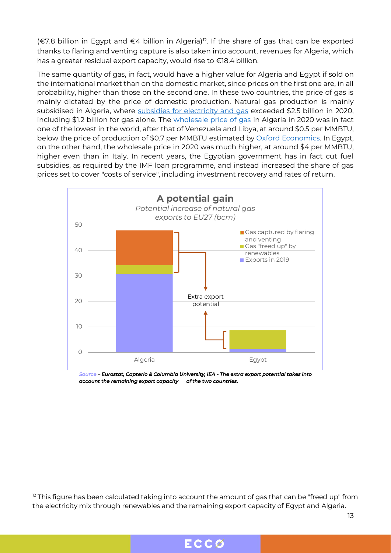(€7.8 billion in Egypt and €4 billion in Algeria)<sup>12</sup>. If the share of gas that can be exported thanks to flaring and venting capture is also taken into account, revenues for Algeria, which has a greater residual export capacity, would rise to €18.4 billion.

The same quantity of gas, in fact, would have a higher value for Algeria and Egypt if sold on the international market than on the domestic market, since prices on the first one are, in all probability, higher than those on the second one. In these two countries, the price of gas is mainly dictated by the price of domestic production. Natural gas production is mainly subsidised in Algeria, where [subsidies for electricity and gas](https://www.iea.org/data-and-statistics/data-product/fossil-fuel-subsidies-database#data-sets) exceeded \$2.5 billion in 2020, including \$1.2 billion for gas alone. The [wholesale price of gas](https://www.igu.org/resources/global-wholesale-gas-price-survey-2021/) in Algeria in 2020 was in fact one of the lowest in the world, after that of Venezuela and Libya, at around \$0.5 per MMBTU, below the price of production of \$0.7 per MMBTU estimated by [Oxford Economics.](https://a9w7k6q9.stackpathcdn.com/wpcms/wp-content/uploads/2019/10/Algerian-Gas-in-Transition-NG-151.pdf) In Egypt, on the other hand, the wholesale price in 2020 was much higher, at around \$4 per MMBTU, higher even than in Italy. In recent years, the Egyptian government has in fact cut fuel subsidies, as required by the IMF loan programme, and instead increased the share of gas prices set to cover "costs of service", including investment recovery and rates of return.



*Source – Eurostat, Capterio & Columbia University, IEA - The extra export potential takes into account the remaining export capacity of the two countries.* 



 $12$  This figure has been calculated taking into account the amount of gas that can be "freed up" from the electricity mix through renewables and the remaining export capacity of Egypt and Algeria.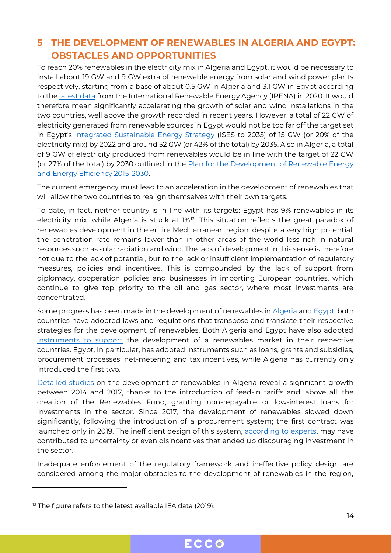#### <span id="page-13-0"></span>**5 THE DEVELOPMENT OF RENEWABLES IN ALGERIA AND EGYPT: OBSTACLES AND OPPORTUNITIES**

To reach 20% renewables in the electricity mix in Algeria and Egypt, it would be necessary to install about 19 GW and 9 GW extra of renewable energy from solar and wind power plants respectively, starting from a base of about 0.5 GW in Algeria and 3.1 GW in Egypt according to the [latest data](https://www.irena.org/-/media/Files/IRENA/Agency/Publication/2022/Jan/IRENA_Market_Africa_2022.pdf?la=en&hash=BC8DEB8130CF9CC1C28FFE87ECBA519B32076013) from the International Renewable Energy Agency (IRENA) in 2020. It would therefore mean significantly accelerating the growth of solar and wind installations in the two countries, well above the growth recorded in recent years. However, a total of 22 GW of electricity generated from renewable sources in Egypt would not be too far off the target set in Egypt's [Integrated Sustainable Energy Strategy](http://nrea.gov.eg/test/en/About/Strategy) (ISES to 2035) of 15 GW (or 20% of the electricity mix) by 2022 and around 52 GW (or 42% of the total) by 2035. Also in Algeria, a total of 9 GW of electricity produced from renewables would be in line with the target of 22 GW (or 27% of the total) by 2030 outlined in the [Plan for the Development of Renewable Energy](https://www.iea.org/policies/6103-renewable-energy-and-energy-efficiency-development-plan-2015-2030) [and Energy Efficiency 2015-2030.](https://www.iea.org/policies/6103-renewable-energy-and-energy-efficiency-development-plan-2015-2030)

The current emergency must lead to an acceleration in the development of renewables that will allow the two countries to realign themselves with their own targets.

To date, in fact, neither country is in line with its targets: Egypt has 9% renewables in its electricity mix, while Algeria is stuck at 1%<sup>13</sup>. This situation reflects the great paradox of renewables development in the entire Mediterranean region: despite a very high potential, the penetration rate remains lower than in other areas of the world less rich in natural resources such as solar radiation and wind. The lack of development in this sense is therefore not due to the lack of potential, but to the lack or insufficient implementation of regulatory measures, policies and incentives. This is compounded by the lack of support from diplomacy, cooperation policies and businesses in importing European countries, which continue to give top priority to the oil and gas sector, where most investments are concentrated.

Some progress has been made in the development of renewables in [Algeria](https://www.iea.org/countries/algeria#policies) an[d Egypt:](https://www.iea.org/countries/egypt#policies) both countries have adopted laws and regulations that transpose and translate their respective strategies for the development of renewables. Both Algeria and Egypt have also adopted [instruments to support](https://www.rcreee.org/content/energy-efficiency-and-renewable-energy-strategies-and-policies) the development of a renewables market in their respective countries. Egypt, in particular, has adopted instruments such as loans, grants and subsidies, procurement processes, net-metering and tax incentives, while Algeria has currently only introduced the first two.

[Detailed studies](https://www.mdpi.com/2071-1050/12/4/1468/htm) on the development of renewables in Algeria reveal a significant growth between 2014 and 2017, thanks to the introduction of feed-in tariffs and, above all, the creation of the Renewables Fund, granting non-repayable or low-interest loans for investments in the sector. Since 2017, the development of renewables slowed down significantly, following the introduction of a procurement system; the first contract was launched only in 2019. The inefficient design of this system, [according to experts,](https://www.mdpi.com/2071-1050/12/4/1468/htm) may have contributed to uncertainty or even disincentives that ended up discouraging investment in the sector.

Inadequate enforcement of the regulatory framework and ineffective policy design are considered among the major obstacles to the development of renewables in the region,



<sup>&</sup>lt;sup>13</sup> The figure refers to the latest available IEA data (2019).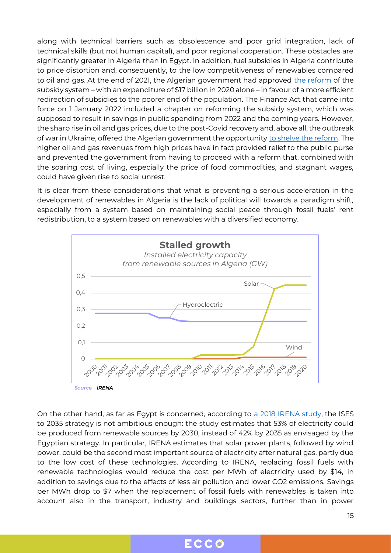along with technical barriers such as obsolescence and poor grid integration, lack of technical skills (but not human capital), and poor regional cooperation. These obstacles are significantly greater in Algeria than in Egypt. In addition, fuel subsidies in Algeria contribute to price distortion and, consequently, to the low competitiveness of renewables compared to oil and gas. At the end of 2021, the Algerian government had approved [the reform](https://allafrica.com/stories/202111180140.html) of the subsidy system – with an expenditure of \$17 billion in 2020 alone – in favour of a more efficient redirection of subsidies to the poorer end of the population. The Finance Act that came into force on 1 January 2022 included a chapter on reforming the subsidy system, which was supposed to result in savings in public spending from 2022 and the coming years. However, the sharp rise in oil and gas prices, due to the post-Covid recovery and, above all, the outbreak of war in Ukraine, offered the Algerian government the opportunity [to shelve the reform.](https://www.menas.co.uk/blog/high-oil-price-enables-algeria-to-revert-to-rentier-economy/) The higher oil and gas revenues from high prices have in fact provided relief to the public purse and prevented the government from having to proceed with a reform that, combined with the soaring cost of living, especially the price of food commodities, and stagnant wages, could have given rise to social unrest.

It is clear from these considerations that what is preventing a serious acceleration in the development of renewables in Algeria is the lack of political will towards a paradigm shift, especially from a system based on maintaining social peace through fossil fuels' rent redistribution, to a system based on renewables with a diversified economy.



On the other hand, as far as Egypt is concerned, according to [a 2018 IRENA study,](https://www.irena.org/publications/2018/oct/renewable-energy-outlook-egypt) the ISES to 2035 strategy is not ambitious enough: the study estimates that 53% of electricity could be produced from renewable sources by 2030, instead of 42% by 2035 as envisaged by the Egyptian strategy. In particular, IRENA estimates that solar power plants, followed by wind power, could be the second most important source of electricity after natural gas, partly due to the low cost of these technologies. According to IRENA, replacing fossil fuels with renewable technologies would reduce the cost per MWh of electricity used by \$14, in addition to savings due to the effects of less air pollution and lower CO2 emissions. Savings per MWh drop to \$7 when the replacement of fossil fuels with renewables is taken into account also in the transport, industry and buildings sectors, further than in power

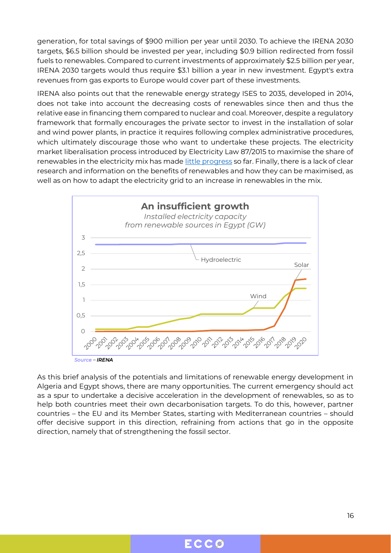generation, for total savings of \$900 million per year until 2030. To achieve the IRENA 2030 targets, \$6.5 billion should be invested per year, including \$0.9 billion redirected from fossil fuels to renewables. Compared to current investments of approximately \$2.5 billion per year, IRENA 2030 targets would thus require \$3.1 billion a year in new investment. Egypt's extra revenues from gas exports to Europe would cover part of these investments.

IRENA also points out that the renewable energy strategy ISES to 2035, developed in 2014, does not take into account the decreasing costs of renewables since then and thus the relative ease in financing them compared to nuclear and coal. Moreover, despite a regulatory framework that formally encourages the private sector to invest in the installation of solar and wind power plants, in practice it requires following complex administrative procedures, which ultimately discourage those who want to undertake these projects. The electricity market liberalisation process introduced by Electricity Law 87/2015 to maximise the share of renewables in the electricity mix has made [little progress](https://epub.wupperinst.org/frontdoor/deliver/index/docId/7892/file/7892_Egypt.pdf) so far. Finally, there is a lack of clear research and information on the benefits of renewables and how they can be maximised, as well as on how to adapt the electricity grid to an increase in renewables in the mix.



As this brief analysis of the potentials and limitations of renewable energy development in Algeria and Egypt shows, there are many opportunities. The current emergency should act as a spur to undertake a decisive acceleration in the development of renewables, so as to help both countries meet their own decarbonisation targets. To do this, however, partner countries – the EU and its Member States, starting with Mediterranean countries – should offer decisive support in this direction, refraining from actions that go in the opposite direction, namely that of strengthening the fossil sector.

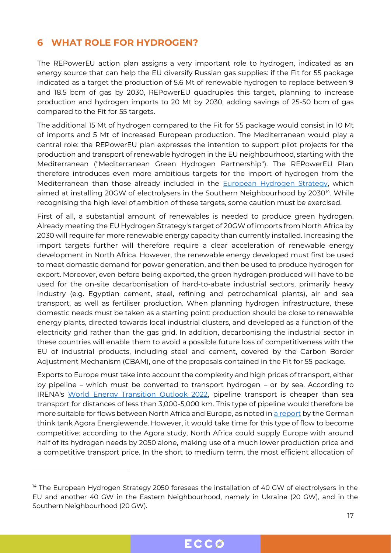#### <span id="page-16-0"></span>**6 WHAT ROLE FOR HYDROGEN?**

The REPowerEU action plan assigns a very important role to hydrogen, indicated as an energy source that can help the EU diversify Russian gas supplies: if the Fit for 55 package indicated as a target the production of 5.6 Mt of renewable hydrogen to replace between 9 and 18.5 bcm of gas by 2030, REPowerEU quadruples this target, planning to increase production and hydrogen imports to 20 Mt by 2030, adding savings of 25-50 bcm of gas compared to the Fit for 55 targets.

The additional 15 Mt of hydrogen compared to the Fit for 55 package would consist in 10 Mt of imports and 5 Mt of increased European production. The Mediterranean would play a central role: the REPowerEU plan expresses the intention to support pilot projects for the production and transport of renewable hydrogen in the EU neighbourhood, starting with the Mediterranean ("Mediterranean Green Hydrogen Partnership"). The REPowerEU Plan therefore introduces even more ambitious targets for the import of hydrogen from the Mediterranean than those already included in the [European Hydrogen Strategy,](https://eur-lex.europa.eu/legal-content/EN/TXT/?uri=CELEX:52020DC0301) which aimed at installing 20GW of electrolysers in the Southern Neighbourhood by 2030<sup>14</sup>. While recognising the high level of ambition of these targets, some caution must be exercised.

First of all, a substantial amount of renewables is needed to produce green hydrogen. Already meeting the EU Hydrogen Strategy's target of 20GW of imports from North Africa by 2030 will require far more renewable energy capacity than currently installed. Increasing the import targets further will therefore require a clear acceleration of renewable energy development in North Africa. However, the renewable energy developed must first be used to meet domestic demand for power generation, and then be used to produce hydrogen for export. Moreover, even before being exported, the green hydrogen produced will have to be used for the on-site decarbonisation of hard-to-abate industrial sectors, primarily heavy industry (e.g. Egyptian cement, steel, refining and petrochemical plants), air and sea transport, as well as fertiliser production. When planning hydrogen infrastructure, these domestic needs must be taken as a starting point: production should be close to renewable energy plants, directed towards local industrial clusters, and developed as a function of the electricity grid rather than the gas grid. In addition, decarbonising the industrial sector in these countries will enable them to avoid a possible future loss of competitiveness with the EU of industrial products, including steel and cement, covered by the Carbon Border Adjustment Mechanism (CBAM), one of the proposals contained in the Fit for 55 package.

Exports to Europe must take into account the complexity and high prices of transport, either by pipeline – which must be converted to transport hydrogen – or by sea. According to IRENA's [World Energy Transition Outlook 2022,](https://www.irena.org/publications/2022/Mar/World-Energy-Transitions-Outlook-2022) pipeline transport is cheaper than sea transport for distances of less than 3,000-5,000 km. This type of pipeline would therefore be more suitable for flows between North Africa and Europe, as noted in [a report](https://www.agora-energiewende.de/en/publications/12-insights-on-hydrogen-publication/) by the German think tank Agora Energiewende. However, it would take time for this type of flow to become competitive: according to the Agora study, North Africa could supply Europe with around half of its hydrogen needs by 2050 alone, making use of a much lower production price and a competitive transport price. In the short to medium term, the most efficient allocation of

<sup>&</sup>lt;sup>14</sup> The European Hydrogen Strategy 2050 foresees the installation of 40 GW of electrolysers in the EU and another 40 GW in the Eastern Neighbourhood, namely in Ukraine (20 GW), and in the Southern Neighbourhood (20 GW).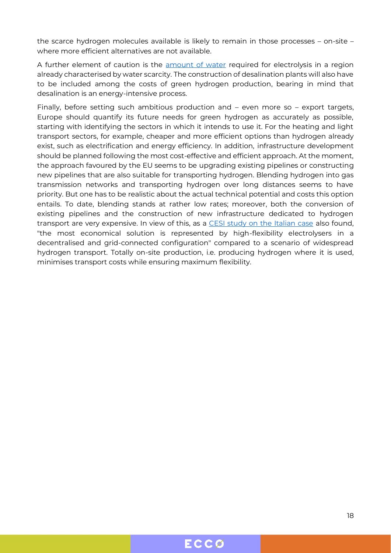the scarce hydrogen molecules available is likely to remain in those processes – on-site – where more efficient alternatives are not available.

A further element of caution is the [amount of water](https://hydrogen-central.com/green-hydrogen-projects-desalination-market-fresh-water-rystad-energy/) required for electrolysis in a region already characterised by water scarcity. The construction of desalination plants will also have to be included among the costs of green hydrogen production, bearing in mind that desalination is an energy-intensive process.

Finally, before setting such ambitious production and – even more so – export targets, Europe should quantify its future needs for green hydrogen as accurately as possible, starting with identifying the sectors in which it intends to use it. For the heating and light transport sectors, for example, cheaper and more efficient options than hydrogen already exist, such as electrification and energy efficiency. In addition, infrastructure development should be planned following the most cost-effective and efficient approach. At the moment, the approach favoured by the EU seems to be upgrading existing pipelines or constructing new pipelines that are also suitable for transporting hydrogen. Blending hydrogen into gas transmission networks and transporting hydrogen over long distances seems to have priority. But one has to be realistic about the actual technical potential and costs this option entails. To date, blending stands at rather low rates; moreover, both the conversion of existing pipelines and the construction of new infrastructure dedicated to hydrogen transport are very expensive. In view of this, as a [CESI study on the Italian case](https://www.cesi.it/app/uploads/2021/10/CESI-Studies-Strategia-Italiana-sullIdrogeno.pdf) also found, "the most economical solution is represented by high-flexibility electrolysers in a decentralised and grid-connected configuration" compared to a scenario of widespread hydrogen transport. Totally on-site production, i.e. producing hydrogen where it is used, minimises transport costs while ensuring maximum flexibility.

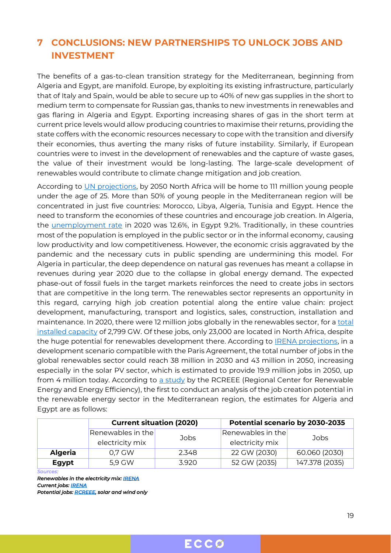### <span id="page-18-0"></span>**7 CONCLUSIONS: NEW PARTNERSHIPS TO UNLOCK JOBS AND INVESTMENT**

The benefits of a gas-to-clean transition strategy for the Mediterranean, beginning from Algeria and Egypt, are manifold. Europe, by exploiting its existing infrastructure, particularly that of Italy and Spain, would be able to secure up to 40% of new gas supplies in the short to medium term to compensate for Russian gas, thanks to new investments in renewables and gas flaring in Algeria and Egypt. Exporting increasing shares of gas in the short term at current price levels would allow producing countries to maximise their returns, providing the state coffers with the economic resources necessary to cope with the transition and diversify their economies, thus averting the many risks of future instability. Similarly, if European countries were to invest in the development of renewables and the capture of waste gases, the value of their investment would be long-lasting. The large-scale development of renewables would contribute to climate change mitigation and job creation.

According to [UN projections,](https://population.un.org/wpp/) by 2050 North Africa will be home to 111 million young people under the age of 25. More than 50% of young people in the Mediterranean region will be concentrated in just five countries: Morocco, Libya, Algeria, Tunisia and Egypt. Hence the need to transform the economies of these countries and encourage job creation. In Algeria, the [unemployment rate](https://data.worldbank.org/indicator/SL.UEM.TOTL.ZS?locations=DZ-EG) in 2020 was 12.6%, in Egypt 9.2%. Traditionally, in these countries most of the population is employed in the public sector or in the informal economy, causing low productivity and low competitiveness. However, the economic crisis aggravated by the pandemic and the necessary cuts in public spending are undermining this model. For Algeria in particular, the deep dependence on natural gas revenues has meant a collapse in revenues during year 2020 due to the collapse in global energy demand. The expected phase-out of fossil fuels in the target markets reinforces the need to create jobs in sectors that are competitive in the long term. The renewables sector represents an opportunity in this regard, carrying high job creation potential along the entire value chain: project development, manufacturing, transport and logistics, sales, construction, installation and maintenance. In 2020, there were 12 million jobs globally in the renewables sector, for a [total](https://www.irena.org/publications/2021/March/Renewable-Capacity-Statistics-2021)  [installed capacity](https://www.irena.org/publications/2021/March/Renewable-Capacity-Statistics-2021) of 2,799 GW. Of these jobs, only 23,000 are located in North Africa, despite the huge potential for renewables development there. According to [IRENA projections,](https://www.irena.org/publications/2021/Oct/Renewable-Energy-and-Jobs-Annual-Review-2021) in a development scenario compatible with the Paris Agreement, the total number of jobs in the global renewables sector could reach 38 million in 2030 and 43 million in 2050, increasing especially in the solar PV sector, which is estimated to provide 19.9 million jobs in 2050, up from 4 million today. According to  $a$  study by the RCREEE (Regional Center for Renewable Energy and Energy Efficiency), the first to conduct an analysis of the job creation potential in the renewable energy sector in the Mediterranean region, the estimates for Algeria and Egypt are as follows:

|                | <b>Current situation (2020)</b> |       | Potential scenario by 2030-2035 |                |  |  |  |
|----------------|---------------------------------|-------|---------------------------------|----------------|--|--|--|
|                | Renewables in the               | Jobs  | Renewables in the               | Jobs           |  |  |  |
|                | electricity mix                 |       | electricity mix                 |                |  |  |  |
| <b>Algeria</b> | 0,7 GW                          | 2.348 | 22 GW (2030)                    | 60.060 (2030)  |  |  |  |
| <b>Egypt</b>   | 5,9 GW                          | 3.920 | 52 GW (2035)                    | 147.378 (2035) |  |  |  |
| Sources:       |                                 |       |                                 |                |  |  |  |

*Renewables in the electricity mix[: IRENA](Dato%20sulle%20rinnovabili%20nel%20mix%20elettrico:%20IRENA)  Current jobs: [IRENA](https://www.irena.org/Statistics/View-Data-by-Topic/Benefits/Renewable-Energy-Employment-by-Country)  Potential jobs[: RCREEE,](https://www.irena.org/Statistics/View-Data-by-Topic/Benefits/Renewable-Energy-Employment-by-Country) solar and wind only*

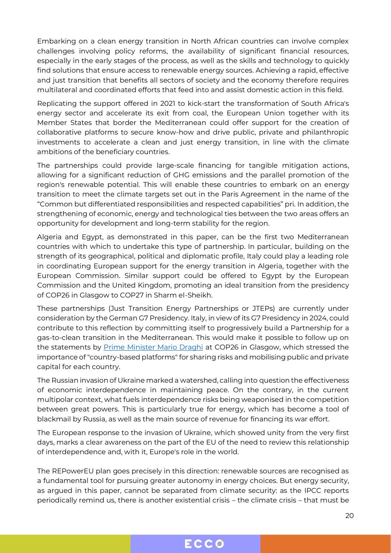Embarking on a clean energy transition in North African countries can involve complex challenges involving policy reforms, the availability of significant financial resources, especially in the early stages of the process, as well as the skills and technology to quickly find solutions that ensure access to renewable energy sources. Achieving a rapid, effective and just transition that benefits all sectors of society and the economy therefore requires multilateral and coordinated efforts that feed into and assist domestic action in this field.

Replicating the support offered in 2021 to kick-start the transformation of South Africa's energy sector and accelerate its exit from coal, the European Union together with its Member States that border the Mediterranean could offer support for the creation of collaborative platforms to secure know-how and drive public, private and philanthropic investments to accelerate a clean and just energy transition, in line with the climate ambitions of the beneficiary countries.

The partnerships could provide large-scale financing for tangible mitigation actions, allowing for a significant reduction of GHG emissions and the parallel promotion of the region's renewable potential. This will enable these countries to embark on an energy transition to meet the climate targets set out in the Paris Agreement in the name of the "Common but differentiated responsibilities and respected capabilities" pri. In addition, the strengthening of economic, energy and technological ties between the two areas offers an opportunity for development and long-term stability for the region.

Algeria and Egypt, as demonstrated in this paper, can be the first two Mediterranean countries with which to undertake this type of partnership. In particular, building on the strength of its geographical, political and diplomatic profile, Italy could play a leading role in coordinating European support for the energy transition in Algeria, together with the European Commission. Similar support could be offered to Egypt by the European Commission and the United Kingdom, promoting an ideal transition from the presidency of COP26 in Glasgow to COP27 in Sharm el-Sheikh.

These partnerships (Just Transition Energy Partnerships or JTEPs) are currently under consideration by the German G7 Presidency. Italy, in view of its G7 Presidency in 2024, could contribute to this reflection by committing itself to progressively build a Partnership for a gas-to-clean transition in the Mediterranean. This would make it possible to follow up on the statements by [Prime Minister Mario Draghi](https://www.governo.it/en/articolo/pm-mario-draghi-s-address-cop26-world-leaders-summit-opening-ceremony/18441) at COP26 in Glasgow, which stressed the importance of "country-based platforms" for sharing risks and mobilising public and private capital for each country.

The Russian invasion of Ukraine marked a watershed, calling into question the effectiveness of economic interdependence in maintaining peace. On the contrary, in the current multipolar context, what fuels interdependence risks being weaponised in the competition between great powers. This is particularly true for energy, which has become a tool of blackmail by Russia, as well as the main source of revenue for financing its war effort.

The European response to the invasion of Ukraine, which showed unity from the very first days, marks a clear awareness on the part of the EU of the need to review this relationship of interdependence and, with it, Europe's role in the world.

The REPowerEU plan goes precisely in this direction: renewable sources are recognised as a fundamental tool for pursuing greater autonomy in energy choices. But energy security, as argued in this paper, cannot be separated from climate security: as the IPCC reports periodically remind us, there is another existential crisis – the climate crisis – that must be

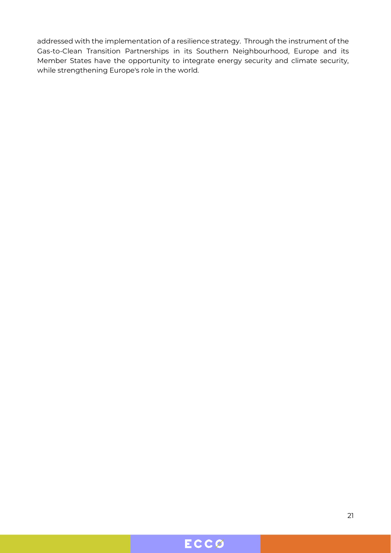addressed with the implementation of a resilience strategy. Through the instrument of the Gas-to-Clean Transition Partnerships in its Southern Neighbourhood, Europe and its Member States have the opportunity to integrate energy security and climate security, while strengthening Europe's role in the world.